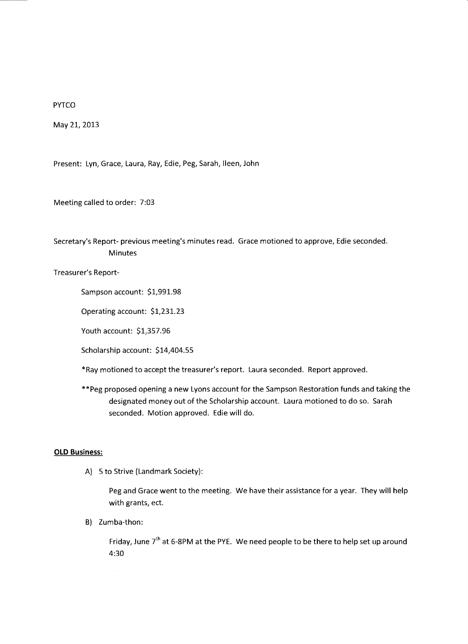PYTCO

May 21, 2013

Present: Lyn, Grace, Laura, Ray, Edie, Peg, Sarah, Ileen, John

Meeting called to order: 7:03

Secretary's Report- previous meeting's minutes read. Grace motioned to approve, Edie seconded. Minutes

Treasurer's Report-

Sampson account: \$1,991.98

Operating account: \$1,231.23

Youth account: \$1,357.96

Scholarship account: \$14,404.55

\*Ray motioned to accept the treasurer's report. Laura seconded. Report approved.

\*\*Peg proposed opening a new Lyons account for the Sampson Restoration funds and taking the designated money out of the Scholarship account. Laura motioned to do so. Sarah seconded. Motion approved. Edie will do.

## **OLD Business:**

A) 5 to Strive (Landmark Society):

Peg and Grace went to the meeting. We have their assistance for a year. They will help with grants, ect.

B) Zumba-thon:

Friday, June  $7<sup>th</sup>$  at 6-8PM at the PYE. We need people to be there to help set up around 4:30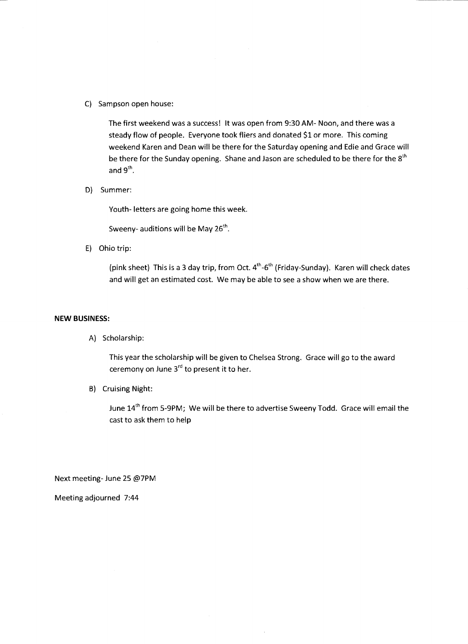C) Sampson open house:

The first weekend was a success! It was open from 9:30 AM- Noon, and there was a steady flow of people. Everyone took fliers and donated \$1 or more. This coming weekend Karen and Dean will be there for the Saturday opening and Edie and Grace will be there for the Sunday opening. Shane and Jason are scheduled to be there for the 8<sup>th</sup> and  $9<sup>th</sup>$ .

D) Summer:

Youth- letters are going home this week.

Sweeny- auditions will be May  $26<sup>th</sup>$ .

E) Ohio trip:

(pink sheet) This is a 3 day trip, from Oct.  $4^{th}$ -6<sup>th</sup> (Friday-Sunday). Karen will check dates and will get an estimated cost. We may be able to see a show when we are there.

## **NEW BUSINESS:**

A) Scholarship:

This year the scholarship will be given to Chelsea Strong. Grace will go to the award ceremony on June  $3^{rd}$  to present it to her.

B) Cruising Night:

June 14<sup>th</sup> from 5-9PM; We will be there to advertise Sweeny Todd. Grace will email the cast to ask them to help

Next meeting- June 25 @7PM

Meeting adjourned 7:44